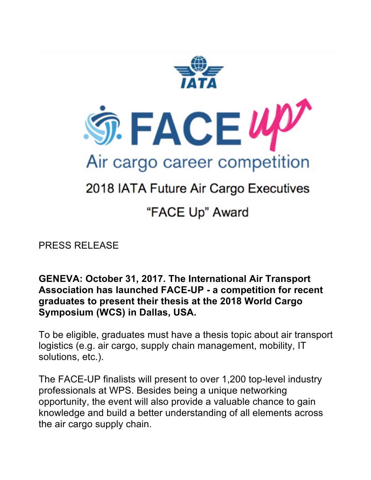

## 2018 IATA Future Air Cargo Executives

## "FACE Up" Award

PRESS RELEASE

**GENEVA: October 31, 2017. The International Air Transport Association has launched FACE-UP - a competition for recent graduates to present their thesis at the 2018 World Cargo Symposium (WCS) in Dallas, USA.** 

To be eligible, graduates must have a thesis topic about air transport logistics (e.g. air cargo, supply chain management, mobility, IT solutions, etc.).

The FACE-UP finalists will present to over 1,200 top-level industry professionals at WPS. Besides being a unique networking opportunity, the event will also provide a valuable chance to gain knowledge and build a better understanding of all elements across the air cargo supply chain.